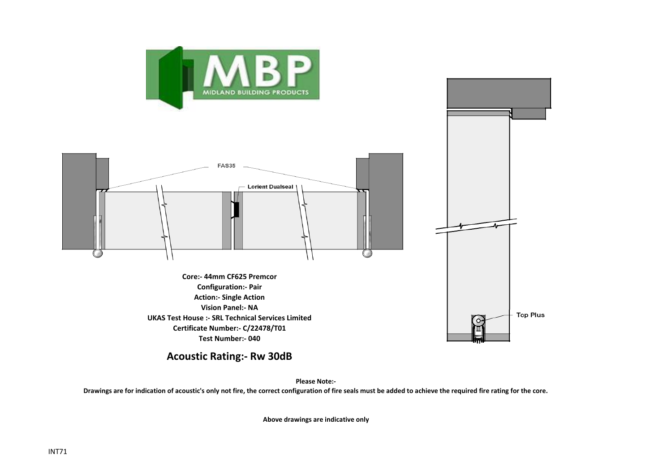



**Vision Panel:- NA UKAS Test House :- SRL Technical Services Limited Certificate Number:- C/22478/T01 Test Number:- 040**

**Acoustic Rating:- Rw 30dB**

**Please Note:-** 

Top Plus

**Drawings are for indication of acoustic's only not fire, the correct configuration of fire seals must be added to achieve the required fire rating for the core.**

**Above drawings are indicative only**